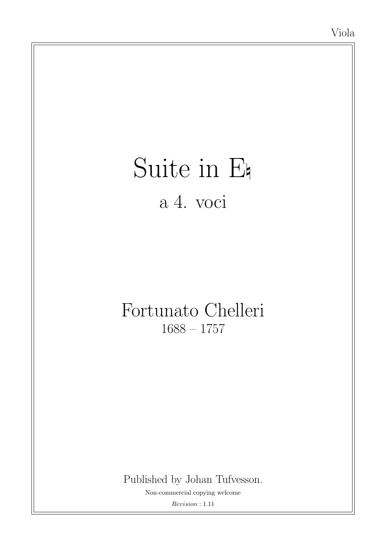## Suite in Et a 4. voci

## Fortunato Chelleri 1688 – 1757

Published by Johan Tufvesson.

Non-commercial copying welcome

Revision : 1.11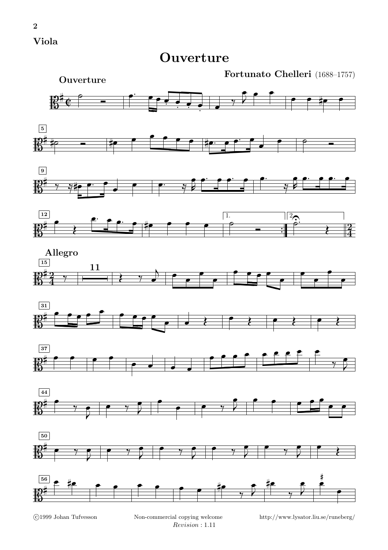**Ouverture** 



Revision : 1.11

c 1999 Johan Tufvesson Non-commercial copying welcome http://www.lysator.liu.se/runeberg/

Viola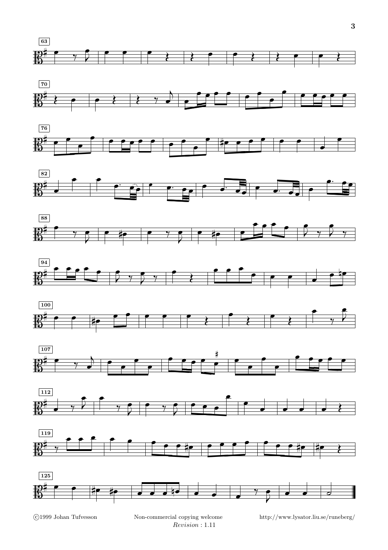





















3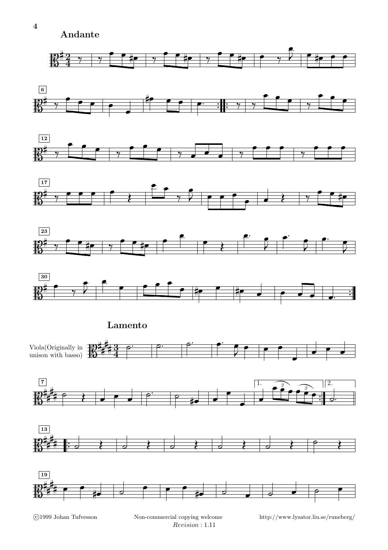Andante

4













Lamento









 c 1999 Johan Tufvesson Non-commercial copying welcome http://www.lysator.liu.se/runeberg/ Revision : 1.11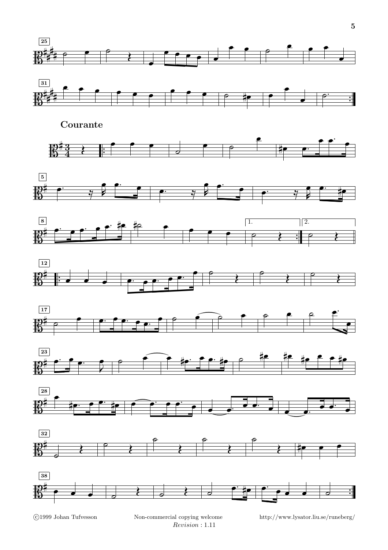